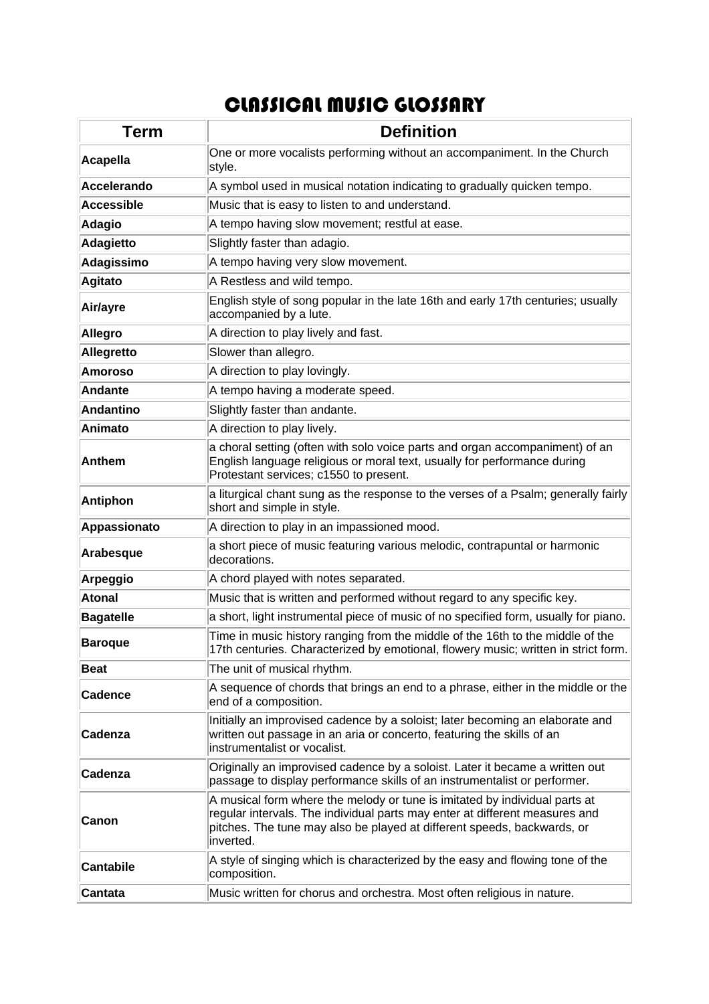## CLASSICAL MUSIC GLOSSARY

| Term              | <b>Definition</b>                                                                                                                                                                                                                                 |
|-------------------|---------------------------------------------------------------------------------------------------------------------------------------------------------------------------------------------------------------------------------------------------|
| Acapella          | One or more vocalists performing without an accompaniment. In the Church<br>style.                                                                                                                                                                |
| Accelerando       | A symbol used in musical notation indicating to gradually quicken tempo.                                                                                                                                                                          |
| <b>Accessible</b> | Music that is easy to listen to and understand.                                                                                                                                                                                                   |
| Adagio            | A tempo having slow movement; restful at ease.                                                                                                                                                                                                    |
| <b>Adagietto</b>  | Slightly faster than adagio.                                                                                                                                                                                                                      |
| Adagissimo        | A tempo having very slow movement.                                                                                                                                                                                                                |
| <b>Agitato</b>    | A Restless and wild tempo.                                                                                                                                                                                                                        |
| Air/ayre          | English style of song popular in the late 16th and early 17th centuries; usually<br>accompanied by a lute.                                                                                                                                        |
| <b>Allegro</b>    | A direction to play lively and fast.                                                                                                                                                                                                              |
| Allegretto        | Slower than allegro.                                                                                                                                                                                                                              |
| <b>Amoroso</b>    | A direction to play lovingly.                                                                                                                                                                                                                     |
| <b>Andante</b>    | A tempo having a moderate speed.                                                                                                                                                                                                                  |
| <b>Andantino</b>  | Slightly faster than andante.                                                                                                                                                                                                                     |
| Animato           | A direction to play lively.                                                                                                                                                                                                                       |
| <b>Anthem</b>     | a choral setting (often with solo voice parts and organ accompaniment) of an<br>English language religious or moral text, usually for performance during<br>Protestant services; c1550 to present.                                                |
| <b>Antiphon</b>   | a liturgical chant sung as the response to the verses of a Psalm; generally fairly<br>short and simple in style.                                                                                                                                  |
| Appassionato      | A direction to play in an impassioned mood.                                                                                                                                                                                                       |
| Arabesque         | a short piece of music featuring various melodic, contrapuntal or harmonic<br>decorations.                                                                                                                                                        |
| <b>Arpeggio</b>   | A chord played with notes separated.                                                                                                                                                                                                              |
| <b>Atonal</b>     | Music that is written and performed without regard to any specific key.                                                                                                                                                                           |
| <b>Bagatelle</b>  | a short, light instrumental piece of music of no specified form, usually for piano.                                                                                                                                                               |
| <b>Baroque</b>    | Time in music history ranging from the middle of the 16th to the middle of the<br>17th centuries. Characterized by emotional, flowery music; written in strict form.                                                                              |
| <b>Beat</b>       | The unit of musical rhythm.                                                                                                                                                                                                                       |
| <b>Cadence</b>    | A sequence of chords that brings an end to a phrase, either in the middle or the<br>end of a composition.                                                                                                                                         |
| Cadenza           | Initially an improvised cadence by a soloist; later becoming an elaborate and<br>written out passage in an aria or concerto, featuring the skills of an<br>instrumentalist or vocalist.                                                           |
| Cadenza           | Originally an improvised cadence by a soloist. Later it became a written out<br>passage to display performance skills of an instrumentalist or performer.                                                                                         |
| Canon             | A musical form where the melody or tune is imitated by individual parts at<br>regular intervals. The individual parts may enter at different measures and<br>pitches. The tune may also be played at different speeds, backwards, or<br>inverted. |
| <b>Cantabile</b>  | A style of singing which is characterized by the easy and flowing tone of the<br>composition.                                                                                                                                                     |
| <b>Cantata</b>    | Music written for chorus and orchestra. Most often religious in nature.                                                                                                                                                                           |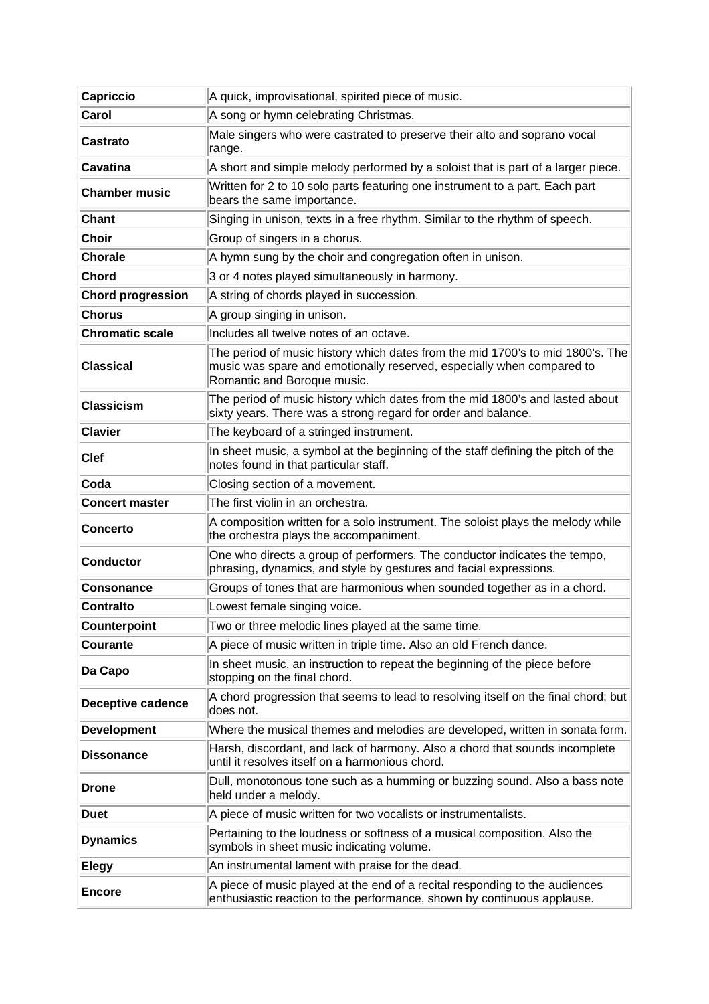| <b>Capriccio</b>         | A quick, improvisational, spirited piece of music.                                                                                                                                     |
|--------------------------|----------------------------------------------------------------------------------------------------------------------------------------------------------------------------------------|
| Carol                    | A song or hymn celebrating Christmas.                                                                                                                                                  |
| Castrato                 | Male singers who were castrated to preserve their alto and soprano vocal<br>range.                                                                                                     |
| Cavatina                 | A short and simple melody performed by a soloist that is part of a larger piece.                                                                                                       |
| <b>Chamber music</b>     | Written for 2 to 10 solo parts featuring one instrument to a part. Each part<br>bears the same importance.                                                                             |
| <b>Chant</b>             | Singing in unison, texts in a free rhythm. Similar to the rhythm of speech.                                                                                                            |
| Choir                    | Group of singers in a chorus.                                                                                                                                                          |
| <b>Chorale</b>           | A hymn sung by the choir and congregation often in unison.                                                                                                                             |
| Chord                    | 3 or 4 notes played simultaneously in harmony.                                                                                                                                         |
| <b>Chord progression</b> | A string of chords played in succession.                                                                                                                                               |
| <b>Chorus</b>            | A group singing in unison.                                                                                                                                                             |
| <b>Chromatic scale</b>   | Includes all twelve notes of an octave.                                                                                                                                                |
| Classical                | The period of music history which dates from the mid 1700's to mid 1800's. The<br>music was spare and emotionally reserved, especially when compared to<br>Romantic and Boroque music. |
| <b>Classicism</b>        | The period of music history which dates from the mid 1800's and lasted about<br>sixty years. There was a strong regard for order and balance.                                          |
| <b>Clavier</b>           | The keyboard of a stringed instrument.                                                                                                                                                 |
| $ C$ lef                 | In sheet music, a symbol at the beginning of the staff defining the pitch of the<br>notes found in that particular staff.                                                              |
| Coda                     | Closing section of a movement.                                                                                                                                                         |
| <b>Concert master</b>    | The first violin in an orchestra.                                                                                                                                                      |
| <b>Concerto</b>          | A composition written for a solo instrument. The soloist plays the melody while<br>the orchestra plays the accompaniment.                                                              |
| <b>Conductor</b>         | One who directs a group of performers. The conductor indicates the tempo,<br>phrasing, dynamics, and style by gestures and facial expressions.                                         |
| <b>Consonance</b>        | Groups of tones that are harmonious when sounded together as in a chord.                                                                                                               |
| <b>Contralto</b>         | Lowest female singing voice.                                                                                                                                                           |
| <b>Counterpoint</b>      | Two or three melodic lines played at the same time.                                                                                                                                    |
| Courante                 | A piece of music written in triple time. Also an old French dance.                                                                                                                     |
| Da Capo                  | In sheet music, an instruction to repeat the beginning of the piece before<br>stopping on the final chord.                                                                             |
| <b>Deceptive cadence</b> | A chord progression that seems to lead to resolving itself on the final chord; but<br>does not.                                                                                        |
| <b>Development</b>       | Where the musical themes and melodies are developed, written in sonata form.                                                                                                           |
| <b>Dissonance</b>        | Harsh, discordant, and lack of harmony. Also a chord that sounds incomplete<br>until it resolves itself on a harmonious chord.                                                         |
| Drone                    | Dull, monotonous tone such as a humming or buzzing sound. Also a bass note<br>held under a melody.                                                                                     |
| Duet                     | A piece of music written for two vocalists or instrumentalists.                                                                                                                        |
| <b>Dynamics</b>          | Pertaining to the loudness or softness of a musical composition. Also the<br>symbols in sheet music indicating volume.                                                                 |
| <b>Elegy</b>             | An instrumental lament with praise for the dead.                                                                                                                                       |
| <b>Encore</b>            | A piece of music played at the end of a recital responding to the audiences<br>enthusiastic reaction to the performance, shown by continuous applause.                                 |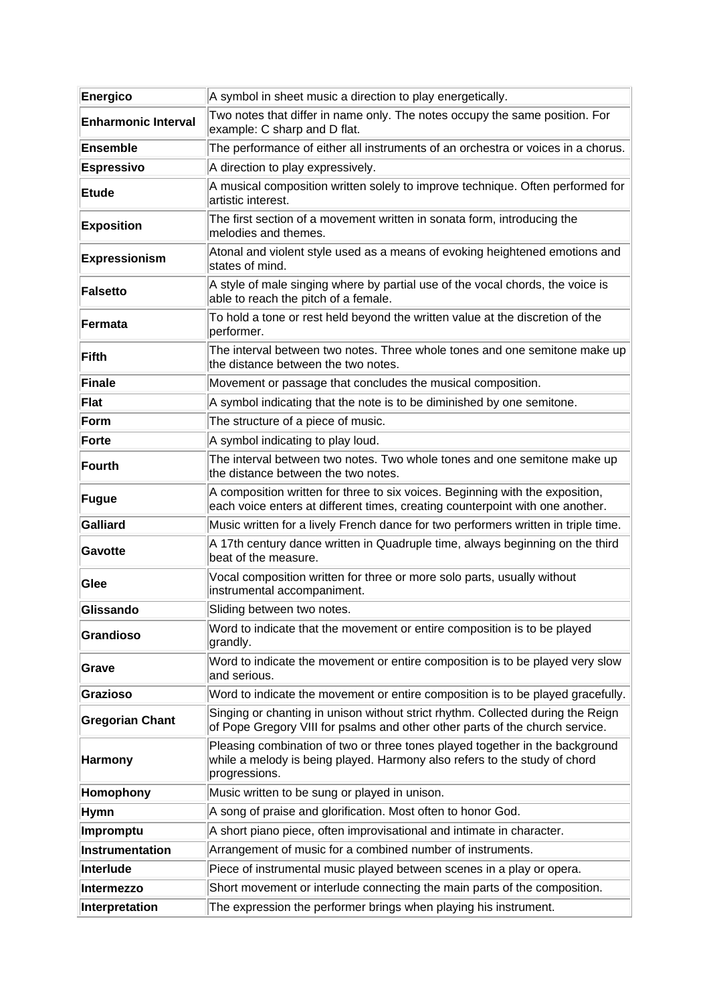| Energico                   | A symbol in sheet music a direction to play energetically.                                                                                                                 |
|----------------------------|----------------------------------------------------------------------------------------------------------------------------------------------------------------------------|
| <b>Enharmonic Interval</b> | Two notes that differ in name only. The notes occupy the same position. For<br>example: C sharp and D flat.                                                                |
| Ensemble                   | The performance of either all instruments of an orchestra or voices in a chorus.                                                                                           |
| <b>Espressivo</b>          | A direction to play expressively.                                                                                                                                          |
| <b>Etude</b>               | A musical composition written solely to improve technique. Often performed for<br>artistic interest.                                                                       |
| <b>Exposition</b>          | The first section of a movement written in sonata form, introducing the<br>melodies and themes.                                                                            |
| <b>Expressionism</b>       | Atonal and violent style used as a means of evoking heightened emotions and<br>states of mind.                                                                             |
| Falsetto                   | A style of male singing where by partial use of the vocal chords, the voice is<br>able to reach the pitch of a female.                                                     |
| Fermata                    | To hold a tone or rest held beyond the written value at the discretion of the<br>performer.                                                                                |
| Fifth                      | The interval between two notes. Three whole tones and one semitone make up<br>the distance between the two notes.                                                          |
| Finale                     | Movement or passage that concludes the musical composition.                                                                                                                |
| Flat                       | A symbol indicating that the note is to be diminished by one semitone.                                                                                                     |
| Form                       | The structure of a piece of music.                                                                                                                                         |
| Forte                      | A symbol indicating to play loud.                                                                                                                                          |
| Fourth                     | The interval between two notes. Two whole tones and one semitone make up<br>the distance between the two notes.                                                            |
| Fugue                      | A composition written for three to six voices. Beginning with the exposition,<br>each voice enters at different times, creating counterpoint with one another.             |
| Galliard                   | Music written for a lively French dance for two performers written in triple time.                                                                                         |
| Gavotte                    | A 17th century dance written in Quadruple time, always beginning on the third<br>beat of the measure.                                                                      |
| Glee                       | Vocal composition written for three or more solo parts, usually without<br>instrumental accompaniment.                                                                     |
| Glissando                  | Sliding between two notes.                                                                                                                                                 |
| Grandioso                  | Word to indicate that the movement or entire composition is to be played<br>grandly.                                                                                       |
| Grave                      | Word to indicate the movement or entire composition is to be played very slow<br>and serious.                                                                              |
| Grazioso                   | Word to indicate the movement or entire composition is to be played gracefully.                                                                                            |
| <b>Gregorian Chant</b>     | Singing or chanting in unison without strict rhythm. Collected during the Reign<br>of Pope Gregory VIII for psalms and other other parts of the church service.            |
| <b>Harmony</b>             | Pleasing combination of two or three tones played together in the background<br>while a melody is being played. Harmony also refers to the study of chord<br>progressions. |
| Homophony                  | Music written to be sung or played in unison.                                                                                                                              |
| <b>Hymn</b>                | A song of praise and glorification. Most often to honor God.                                                                                                               |
| Impromptu                  | A short piano piece, often improvisational and intimate in character.                                                                                                      |
| Instrumentation            | Arrangement of music for a combined number of instruments.                                                                                                                 |
| Interlude                  | Piece of instrumental music played between scenes in a play or opera.                                                                                                      |
| Intermezzo                 | Short movement or interlude connecting the main parts of the composition.                                                                                                  |
| Interpretation             | The expression the performer brings when playing his instrument.                                                                                                           |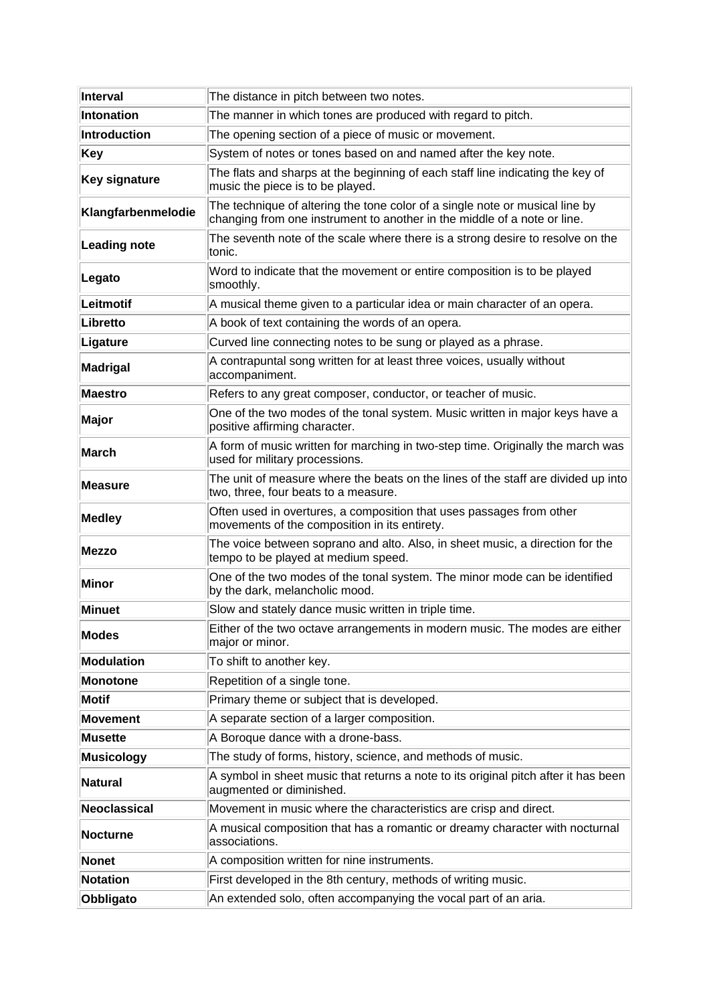| Interval             | The distance in pitch between two notes.                                                                                                                 |
|----------------------|----------------------------------------------------------------------------------------------------------------------------------------------------------|
| Intonation           | The manner in which tones are produced with regard to pitch.                                                                                             |
| Introduction         | The opening section of a piece of music or movement.                                                                                                     |
| Key                  | System of notes or tones based on and named after the key note.                                                                                          |
| <b>Key signature</b> | The flats and sharps at the beginning of each staff line indicating the key of<br>music the piece is to be played.                                       |
| Klangfarbenmelodie   | The technique of altering the tone color of a single note or musical line by<br>changing from one instrument to another in the middle of a note or line. |
| <b>Leading note</b>  | The seventh note of the scale where there is a strong desire to resolve on the<br>tonic.                                                                 |
| Legato               | Word to indicate that the movement or entire composition is to be played<br>smoothly.                                                                    |
| Leitmotif            | A musical theme given to a particular idea or main character of an opera.                                                                                |
| Libretto             | A book of text containing the words of an opera.                                                                                                         |
| Ligature             | Curved line connecting notes to be sung or played as a phrase.                                                                                           |
| Madrigal             | A contrapuntal song written for at least three voices, usually without<br>accompaniment.                                                                 |
| <b>Maestro</b>       | Refers to any great composer, conductor, or teacher of music.                                                                                            |
| Major                | One of the two modes of the tonal system. Music written in major keys have a<br>positive affirming character.                                            |
| March                | A form of music written for marching in two-step time. Originally the march was<br>used for military processions.                                        |
| Measure              | The unit of measure where the beats on the lines of the staff are divided up into<br>two, three, four beats to a measure.                                |
| <b>Medley</b>        | Often used in overtures, a composition that uses passages from other<br>movements of the composition in its entirety.                                    |
| Mezzo                | The voice between soprano and alto. Also, in sheet music, a direction for the<br>tempo to be played at medium speed.                                     |
| Minor                | One of the two modes of the tonal system. The minor mode can be identified<br>by the dark, melancholic mood.                                             |
| <b>Minuet</b>        | Slow and stately dance music written in triple time.                                                                                                     |
| <b>Modes</b>         | Either of the two octave arrangements in modern music. The modes are either<br>major or minor.                                                           |
| Modulation           | To shift to another key.                                                                                                                                 |
| <b>Monotone</b>      | Repetition of a single tone.                                                                                                                             |
| Motif                | Primary theme or subject that is developed.                                                                                                              |
| <b>Movement</b>      | A separate section of a larger composition.                                                                                                              |
| <b>Musette</b>       | A Boroque dance with a drone-bass.                                                                                                                       |
| <b>Musicology</b>    | The study of forms, history, science, and methods of music.                                                                                              |
| <b>Natural</b>       | A symbol in sheet music that returns a note to its original pitch after it has been<br>augmented or diminished.                                          |
| Neoclassical         | Movement in music where the characteristics are crisp and direct.                                                                                        |
| <b>Nocturne</b>      | A musical composition that has a romantic or dreamy character with nocturnal<br>associations.                                                            |
| Nonet                | A composition written for nine instruments.                                                                                                              |
| <b>Notation</b>      | First developed in the 8th century, methods of writing music.                                                                                            |
| Obbligato            | An extended solo, often accompanying the vocal part of an aria.                                                                                          |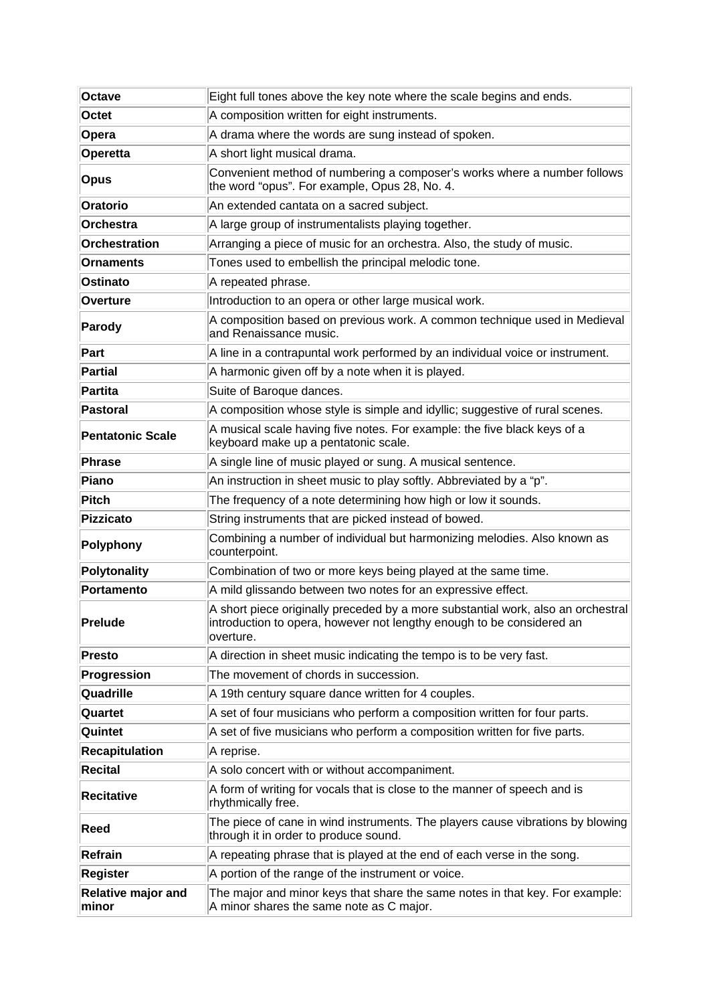| <b>Octave</b>                      | Eight full tones above the key note where the scale begins and ends.                                                                                                   |
|------------------------------------|------------------------------------------------------------------------------------------------------------------------------------------------------------------------|
| Octet                              | A composition written for eight instruments.                                                                                                                           |
| Opera                              | A drama where the words are sung instead of spoken.                                                                                                                    |
| Operetta                           | A short light musical drama.                                                                                                                                           |
| <b>Opus</b>                        | Convenient method of numbering a composer's works where a number follows<br>the word "opus". For example, Opus 28, No. 4.                                              |
| Oratorio                           | An extended cantata on a sacred subject.                                                                                                                               |
| Orchestra                          | A large group of instrumentalists playing together.                                                                                                                    |
| Orchestration                      | Arranging a piece of music for an orchestra. Also, the study of music.                                                                                                 |
| <b>Ornaments</b>                   | Tones used to embellish the principal melodic tone.                                                                                                                    |
| Ostinato                           | A repeated phrase.                                                                                                                                                     |
| Overture                           | Introduction to an opera or other large musical work.                                                                                                                  |
| Parody                             | A composition based on previous work. A common technique used in Medieval<br>and Renaissance music.                                                                    |
| Part                               | A line in a contrapuntal work performed by an individual voice or instrument.                                                                                          |
| Partial                            | A harmonic given off by a note when it is played.                                                                                                                      |
| Partita                            | Suite of Baroque dances.                                                                                                                                               |
| <b>Pastoral</b>                    | A composition whose style is simple and idyllic; suggestive of rural scenes.                                                                                           |
| <b>Pentatonic Scale</b>            | A musical scale having five notes. For example: the five black keys of a<br>keyboard make up a pentatonic scale.                                                       |
| Phrase                             | A single line of music played or sung. A musical sentence.                                                                                                             |
| Piano                              | An instruction in sheet music to play softly. Abbreviated by a "p".                                                                                                    |
| <b>Pitch</b>                       | The frequency of a note determining how high or low it sounds.                                                                                                         |
| Pizzicato                          | String instruments that are picked instead of bowed.                                                                                                                   |
| Polyphony                          | Combining a number of individual but harmonizing melodies. Also known as<br>counterpoint.                                                                              |
| Polytonality                       | Combination of two or more keys being played at the same time.                                                                                                         |
| Portamento                         | A mild glissando between two notes for an expressive effect.                                                                                                           |
| <b>Prelude</b>                     | A short piece originally preceded by a more substantial work, also an orchestral<br>introduction to opera, however not lengthy enough to be considered an<br>overture. |
| Presto                             | A direction in sheet music indicating the tempo is to be very fast.                                                                                                    |
| Progression                        | The movement of chords in succession.                                                                                                                                  |
| Quadrille                          | A 19th century square dance written for 4 couples.                                                                                                                     |
| Quartet                            | A set of four musicians who perform a composition written for four parts.                                                                                              |
| Quintet                            | A set of five musicians who perform a composition written for five parts.                                                                                              |
| <b>Recapitulation</b>              | A reprise.                                                                                                                                                             |
| <b>Recital</b>                     | A solo concert with or without accompaniment.                                                                                                                          |
| <b>Recitative</b>                  | A form of writing for vocals that is close to the manner of speech and is<br>rhythmically free.                                                                        |
| Reed                               | The piece of cane in wind instruments. The players cause vibrations by blowing<br>through it in order to produce sound.                                                |
| Refrain                            | A repeating phrase that is played at the end of each verse in the song.                                                                                                |
| <b>Register</b>                    | A portion of the range of the instrument or voice.                                                                                                                     |
| <b>Relative major and</b><br>minor | The major and minor keys that share the same notes in that key. For example:<br>A minor shares the same note as C major.                                               |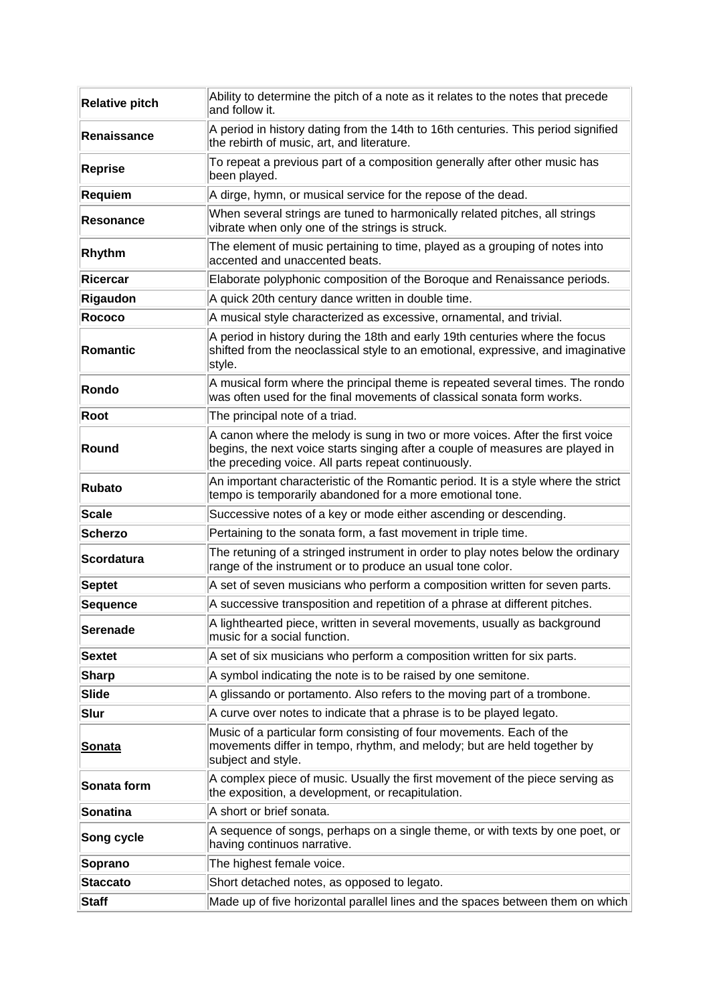| <b>Relative pitch</b> | Ability to determine the pitch of a note as it relates to the notes that precede<br>and follow it.                                                                                                                     |
|-----------------------|------------------------------------------------------------------------------------------------------------------------------------------------------------------------------------------------------------------------|
| Renaissance           | A period in history dating from the 14th to 16th centuries. This period signified<br>the rebirth of music, art, and literature.                                                                                        |
| Reprise               | To repeat a previous part of a composition generally after other music has<br>been played.                                                                                                                             |
| <b>Requiem</b>        | A dirge, hymn, or musical service for the repose of the dead.                                                                                                                                                          |
| <b>Resonance</b>      | When several strings are tuned to harmonically related pitches, all strings<br>vibrate when only one of the strings is struck.                                                                                         |
| Rhythm                | The element of music pertaining to time, played as a grouping of notes into<br>accented and unaccented beats.                                                                                                          |
| Ricercar              | Elaborate polyphonic composition of the Boroque and Renaissance periods.                                                                                                                                               |
| Rigaudon              | A quick 20th century dance written in double time.                                                                                                                                                                     |
| <b>Rococo</b>         | A musical style characterized as excessive, ornamental, and trivial.                                                                                                                                                   |
| Romantic              | A period in history during the 18th and early 19th centuries where the focus<br>shifted from the neoclassical style to an emotional, expressive, and imaginative<br>style.                                             |
| Rondo                 | A musical form where the principal theme is repeated several times. The rondo<br>was often used for the final movements of classical sonata form works.                                                                |
| Root                  | The principal note of a triad.                                                                                                                                                                                         |
| Round                 | A canon where the melody is sung in two or more voices. After the first voice<br>begins, the next voice starts singing after a couple of measures are played in<br>the preceding voice. All parts repeat continuously. |
| <b>Rubato</b>         | An important characteristic of the Romantic period. It is a style where the strict<br>tempo is temporarily abandoned for a more emotional tone.                                                                        |
| <b>Scale</b>          | Successive notes of a key or mode either ascending or descending.                                                                                                                                                      |
| <b>Scherzo</b>        | Pertaining to the sonata form, a fast movement in triple time.                                                                                                                                                         |
| <b>Scordatura</b>     | The retuning of a stringed instrument in order to play notes below the ordinary<br>range of the instrument or to produce an usual tone color.                                                                          |
| <b>Septet</b>         | A set of seven musicians who perform a composition written for seven parts.                                                                                                                                            |
| <b>Sequence</b>       | A successive transposition and repetition of a phrase at different pitches.                                                                                                                                            |
| <b>Serenade</b>       | A lighthearted piece, written in several movements, usually as background<br>music for a social function.                                                                                                              |
| <b>Sextet</b>         | A set of six musicians who perform a composition written for six parts.                                                                                                                                                |
| <b>Sharp</b>          | A symbol indicating the note is to be raised by one semitone.                                                                                                                                                          |
| Slide                 | A glissando or portamento. Also refers to the moving part of a trombone.                                                                                                                                               |
| Slur                  | A curve over notes to indicate that a phrase is to be played legato.                                                                                                                                                   |
| <u>Sonata</u>         | Music of a particular form consisting of four movements. Each of the<br>movements differ in tempo, rhythm, and melody; but are held together by<br>subject and style.                                                  |
| Sonata form           | A complex piece of music. Usually the first movement of the piece serving as<br>the exposition, a development, or recapitulation.                                                                                      |
| Sonatina              | A short or brief sonata.                                                                                                                                                                                               |
| Song cycle            | A sequence of songs, perhaps on a single theme, or with texts by one poet, or<br>having continuos narrative.                                                                                                           |
| Soprano               | The highest female voice.                                                                                                                                                                                              |
| <b>Staccato</b>       | Short detached notes, as opposed to legato.                                                                                                                                                                            |
| <b>Staff</b>          | Made up of five horizontal parallel lines and the spaces between them on which                                                                                                                                         |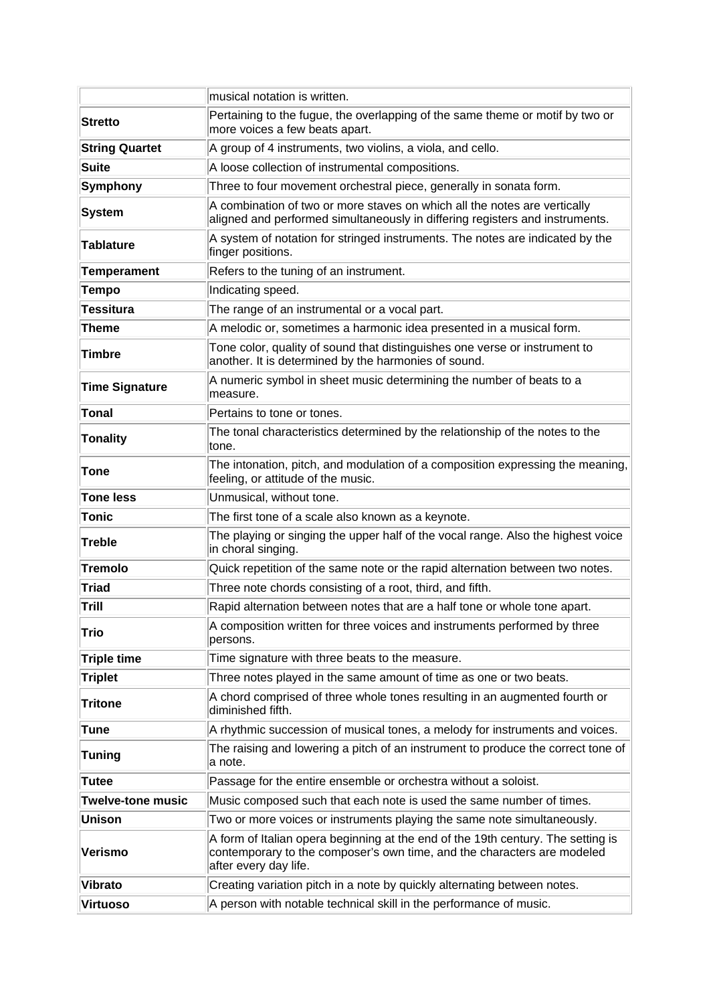|                          | musical notation is written.                                                                                                                                                         |
|--------------------------|--------------------------------------------------------------------------------------------------------------------------------------------------------------------------------------|
| <b>Stretto</b>           | Pertaining to the fugue, the overlapping of the same theme or motif by two or<br>more voices a few beats apart.                                                                      |
| <b>String Quartet</b>    | A group of 4 instruments, two violins, a viola, and cello.                                                                                                                           |
| <b>Suite</b>             | A loose collection of instrumental compositions.                                                                                                                                     |
| Symphony                 | Three to four movement orchestral piece, generally in sonata form.                                                                                                                   |
| <b>System</b>            | A combination of two or more staves on which all the notes are vertically<br>aligned and performed simultaneously in differing registers and instruments.                            |
| <b>Tablature</b>         | A system of notation for stringed instruments. The notes are indicated by the<br>finger positions.                                                                                   |
| <b>Temperament</b>       | Refers to the tuning of an instrument.                                                                                                                                               |
| <b>Tempo</b>             | Indicating speed.                                                                                                                                                                    |
| <b>Tessitura</b>         | The range of an instrumental or a vocal part.                                                                                                                                        |
| <b>Theme</b>             | A melodic or, sometimes a harmonic idea presented in a musical form.                                                                                                                 |
| Timbre                   | Tone color, quality of sound that distinguishes one verse or instrument to<br>another. It is determined by the harmonies of sound.                                                   |
| <b>Time Signature</b>    | A numeric symbol in sheet music determining the number of beats to a<br>measure.                                                                                                     |
| <b>Tonal</b>             | Pertains to tone or tones.                                                                                                                                                           |
| <b>Tonality</b>          | The tonal characteristics determined by the relationship of the notes to the<br>tone.                                                                                                |
| <b>Tone</b>              | The intonation, pitch, and modulation of a composition expressing the meaning,<br>feeling, or attitude of the music.                                                                 |
| <b>Tone less</b>         | Unmusical, without tone.                                                                                                                                                             |
| <b>Tonic</b>             | The first tone of a scale also known as a keynote.                                                                                                                                   |
| <b>Treble</b>            | The playing or singing the upper half of the vocal range. Also the highest voice<br>in choral singing.                                                                               |
| <b>Tremolo</b>           | Quick repetition of the same note or the rapid alternation between two notes.                                                                                                        |
| <b>Triad</b>             | Three note chords consisting of a root, third, and fifth.                                                                                                                            |
| Trill                    | Rapid alternation between notes that are a half tone or whole tone apart.                                                                                                            |
| Trio                     | A composition written for three voices and instruments performed by three<br>persons.                                                                                                |
| <b>Triple time</b>       | Time signature with three beats to the measure.                                                                                                                                      |
| <b>Triplet</b>           | Three notes played in the same amount of time as one or two beats.                                                                                                                   |
| <b>Tritone</b>           | A chord comprised of three whole tones resulting in an augmented fourth or<br>diminished fifth.                                                                                      |
| <b>Tune</b>              | A rhythmic succession of musical tones, a melody for instruments and voices.                                                                                                         |
| <b>Tuning</b>            | The raising and lowering a pitch of an instrument to produce the correct tone of<br>a note.                                                                                          |
| <b>Tutee</b>             | Passage for the entire ensemble or orchestra without a soloist.                                                                                                                      |
| <b>Twelve-tone music</b> | Music composed such that each note is used the same number of times.                                                                                                                 |
| Unison                   | Two or more voices or instruments playing the same note simultaneously.                                                                                                              |
| Verismo                  | A form of Italian opera beginning at the end of the 19th century. The setting is<br>contemporary to the composer's own time, and the characters are modeled<br>after every day life. |
| <b>Vibrato</b>           | Creating variation pitch in a note by quickly alternating between notes.                                                                                                             |
| <b>Virtuoso</b>          | A person with notable technical skill in the performance of music.                                                                                                                   |